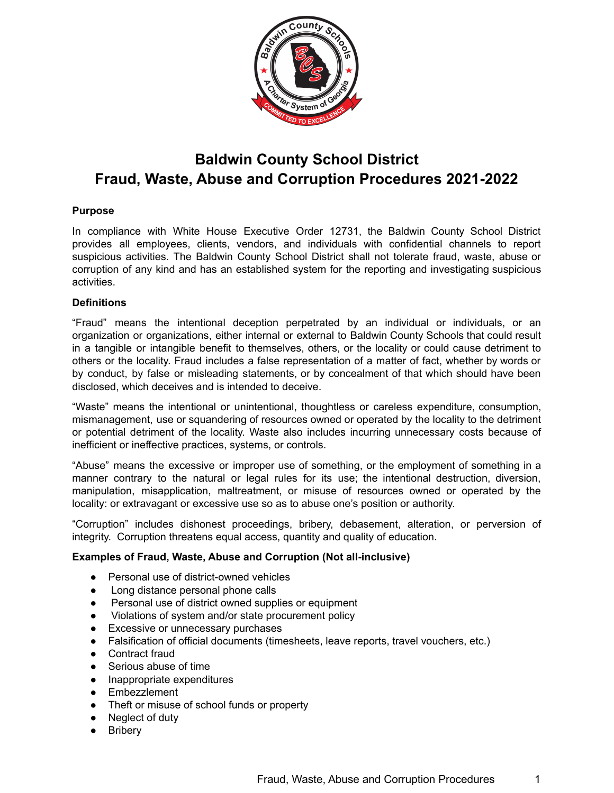

# **Baldwin County School District Fraud, Waste, Abuse and Corruption Procedures 2021-2022**

## **Purpose**

In compliance with White House Executive Order 12731, the Baldwin County School District provides all employees, clients, vendors, and individuals with confidential channels to report suspicious activities. The Baldwin County School District shall not tolerate fraud, waste, abuse or corruption of any kind and has an established system for the reporting and investigating suspicious activities.

## **Definitions**

"Fraud" means the intentional deception perpetrated by an individual or individuals, or an organization or organizations, either internal or external to Baldwin County Schools that could result in a tangible or intangible benefit to themselves, others, or the locality or could cause detriment to others or the locality. Fraud includes a false representation of a matter of fact, whether by words or by conduct, by false or misleading statements, or by concealment of that which should have been disclosed, which deceives and is intended to deceive.

"Waste" means the intentional or unintentional, thoughtless or careless expenditure, consumption, mismanagement, use or squandering of resources owned or operated by the locality to the detriment or potential detriment of the locality. Waste also includes incurring unnecessary costs because of inefficient or ineffective practices, systems, or controls.

"Abuse" means the excessive or improper use of something, or the employment of something in a manner contrary to the natural or legal rules for its use; the intentional destruction, diversion, manipulation, misapplication, maltreatment, or misuse of resources owned or operated by the locality: or extravagant or excessive use so as to abuse one's position or authority.

"Corruption" includes dishonest proceedings, bribery, debasement, alteration, or perversion of integrity. Corruption threatens equal access, quantity and quality of education.

## **Examples of Fraud, Waste, Abuse and Corruption (Not all-inclusive)**

- Personal use of district-owned vehicles
- Long distance personal phone calls
- Personal use of district owned supplies or equipment
- Violations of system and/or state procurement policy
- Excessive or unnecessary purchases
- Falsification of official documents (timesheets, leave reports, travel vouchers, etc.)
- Contract fraud
- Serious abuse of time
- Inappropriate expenditures
- Embezzlement
- Theft or misuse of school funds or property
- Neglect of duty
- Bribery